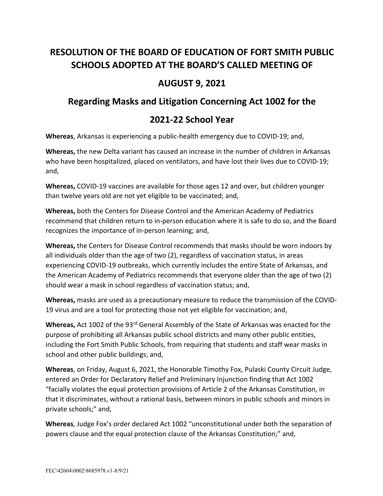# **RESOLUTION OF THE BOARD OF EDUCATION OF FORT SMITH PUBLIC SCHOOLS ADOPTED AT THE BOARD'S CALLED MEETING OF**

## **AUGUST 9, 2021**

### **Regarding Masks and Litigation Concerning Act 1002 for the**

### **2021-22 School Year**

**Whereas**, Arkansas is experiencing a public-health emergency due to COVID-19; and,

**Whereas,** the new Delta variant has caused an increase in the number of children in Arkansas who have been hospitalized, placed on ventilators, and have lost their lives due to COVID-19; and,

**Whereas,** COVID-19 vaccines are available for those ages 12 and over, but children younger than twelve years old are not yet eligible to be vaccinated; and,

**Whereas,** both the Centers for Disease Control and the American Academy of Pediatrics recommend that children return to in-person education where it is safe to do so, and the Board recognizes the importance of in-person learning; and,

**Whereas,** the Centers for Disease Control recommends that masks should be worn indoors by all individuals older than the age of two (2), regardless of vaccination status, in areas experiencing COVID-19 outbreaks, which currently includes the entire State of Arkansas, and the American Academy of Pediatrics recommends that everyone older than the age of two (2) should wear a mask in school regardless of vaccination status; and,

**Whereas,** masks are used as a precautionary measure to reduce the transmission of the COVID-19 virus and are a tool for protecting those not yet eligible for vaccination; and,

**Whereas,** Act 1002 of the 93rd General Assembly of the State of Arkansas was enacted for the purpose of prohibiting all Arkansas public school districts and many other public entities, including the Fort Smith Public Schools, from requiring that students and staff wear masks in school and other public buildings; and,

**Whereas**, on Friday, August 6, 2021, the Honorable Timothy Fox, Pulaski County Circuit Judge, entered an Order for Declaratory Relief and Preliminary Injunction finding that Act 1002 "facially violates the equal protection provisions of Article 2 of the Arkansas Constitution, in that it discriminates, without a rational basis, between minors in public schools and minors in private schools;" and,

**Whereas**, Judge Fox's order declared Act 1002 "unconstitutional under both the separation of powers clause and the equal protection clause of the Arkansas Constitution;" and,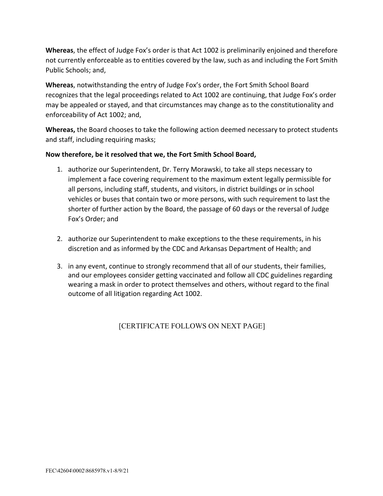**Whereas**, the effect of Judge Fox's order is that Act 1002 is preliminarily enjoined and therefore not currently enforceable as to entities covered by the law, such as and including the Fort Smith Public Schools; and,

**Whereas**, notwithstanding the entry of Judge Fox's order, the Fort Smith School Board recognizes that the legal proceedings related to Act 1002 are continuing, that Judge Fox's order may be appealed or stayed, and that circumstances may change as to the constitutionality and enforceability of Act 1002; and,

**Whereas,** the Board chooses to take the following action deemed necessary to protect students and staff, including requiring masks;

#### **Now therefore, be it resolved that we, the Fort Smith School Board,**

- 1. authorize our Superintendent, Dr. Terry Morawski, to take all steps necessary to implement a face covering requirement to the maximum extent legally permissible for all persons, including staff, students, and visitors, in district buildings or in school vehicles or buses that contain two or more persons, with such requirement to last the shorter of further action by the Board, the passage of 60 days or the reversal of Judge Fox's Order; and
- 2. authorize our Superintendent to make exceptions to the these requirements, in his discretion and as informed by the CDC and Arkansas Department of Health; and
- 3. in any event, continue to strongly recommend that all of our students, their families, and our employees consider getting vaccinated and follow all CDC guidelines regarding wearing a mask in order to protect themselves and others, without regard to the final outcome of all litigation regarding Act 1002.

[CERTIFICATE FOLLOWS ON NEXT PAGE]